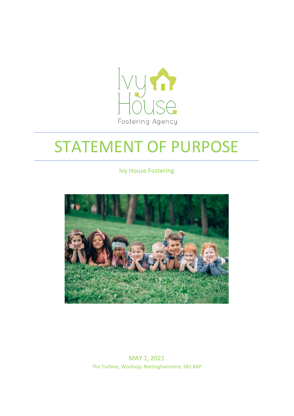

# STATEMENT OF PURPOSE

Ivy House Fostering



MAY 1, 2021 The Turbine, Worksop, Nottinghamshire, S81 8AP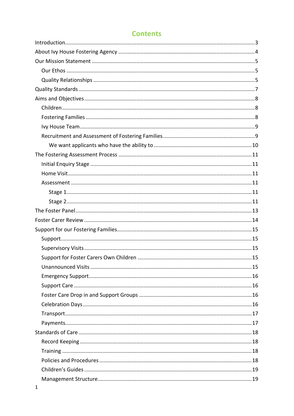# **Contents**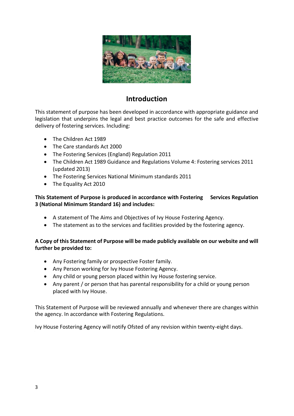

## **Introduction**

<span id="page-3-0"></span>This statement of purpose has been developed in accordance with appropriate guidance and legislation that underpins the legal and best practice outcomes for the safe and effective delivery of fostering services. Including:

- The Children Act 1989
- The Care standards Act 2000
- The Fostering Services (England) Regulation 2011
- The Children Act 1989 Guidance and Regulations Volume 4: Fostering services 2011 (updated 2013)
- The Fostering Services National Minimum standards 2011
- The Equality Act 2010

#### **This Statement of Purpose is produced in accordance with Fostering Services Regulation 3 (National Minimum Standard 16) and includes:**

- A statement of The Aims and Objectives of Ivy House Fostering Agency.
- The statement as to the services and facilities provided by the fostering agency.

#### **A Copy of this Statement of Purpose will be made publicly available on our website and will further be provided to:**

- Any Fostering family or prospective Foster family.
- Any Person working for Ivy House Fostering Agency.
- Any child or young person placed within Ivy House fostering service.
- Any parent / or person that has parental responsibility for a child or young person placed with Ivy House.

This Statement of Purpose will be reviewed annually and whenever there are changes within the agency. In accordance with Fostering Regulations.

Ivy House Fostering Agency will notify Ofsted of any revision within twenty-eight days.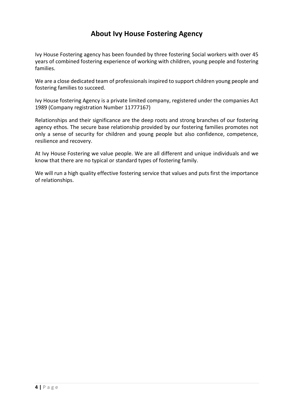# **About Ivy House Fostering Agency**

<span id="page-4-0"></span>Ivy House Fostering agency has been founded by three fostering Social workers with over 45 years of combined fostering experience of working with children, young people and fostering families.

We are a close dedicated team of professionals inspired to support children young people and fostering families to succeed.

Ivy House fostering Agency is a private limited company, registered under the companies Act 1989 (Company registration Number 11777167)

Relationships and their significance are the deep roots and strong branches of our fostering agency ethos. The secure base relationship provided by our fostering families promotes not only a sense of security for children and young people but also confidence, competence, resilience and recovery.

At Ivy House Fostering we value people. We are all different and unique individuals and we know that there are no typical or standard types of fostering family.

We will run a high quality effective fostering service that values and puts first the importance of relationships.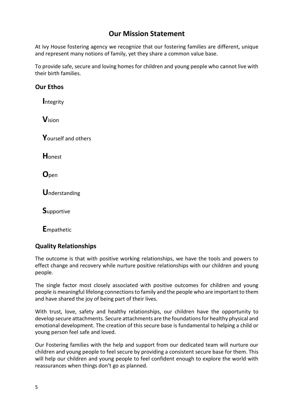# **Our Mission Statement**

<span id="page-5-0"></span>At Ivy House fostering agency we recognize that our fostering families are different, unique and represent many notions of family, yet they share a common value base.

To provide safe, secure and loving homes for children and young people who cannot live with their birth families.

## <span id="page-5-1"></span>**Our Ethos**

 **I**ntegrity

 **V**ision

 **Y**ourself and others

 **H**onest

 **O**pen

 **U**nderstanding

 **S**upportive

 **E**mpathetic

## <span id="page-5-2"></span>**Quality Relationships**

The outcome is that with positive working relationships, we have the tools and powers to effect change and recovery while nurture positive relationships with our children and young people.

The single factor most closely associated with positive outcomes for children and young people is meaningful lifelong connections to family and the people who are important to them and have shared the joy of being part of their lives.

With trust, love, safety and healthy relationships, our children have the opportunity to develop secure attachments. Secure attachments are the foundations for healthy physical and emotional development. The creation of this secure base is fundamental to helping a child or young person feel safe and loved.

Our Fostering families with the help and support from our dedicated team will nurture our children and young people to feel secure by providing a consistent secure base for them. This will help our children and young people to feel confident enough to explore the world with reassurances when things don't go as planned.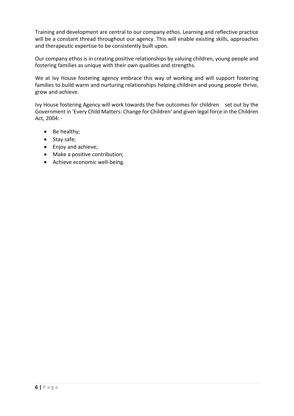Training and development are central to our company ethos. Learning and reflective practice will be a constant thread throughout our agency. This will enable existing skills, approaches and therapeutic expertise to be consistently built upon.

Our company ethos is in creating positive relationships by valuing children, young people and fostering families as unique with their own qualities and strengths.

We at Ivy House fostering agency embrace this way of working and will support fostering families to build warm and nurturing relationships helping children and young people thrive, grow and achieve.

Ivy House fostering Agency will work towards the five outcomes for children set out by the Government in 'Every Child Matters: Change for Children' and given legal force in the Children Act, 2004: -

- Be healthy;
- Stay safe;
- Enjoy and achieve;
- Make a positive contribution;
- Achieve economic well-being.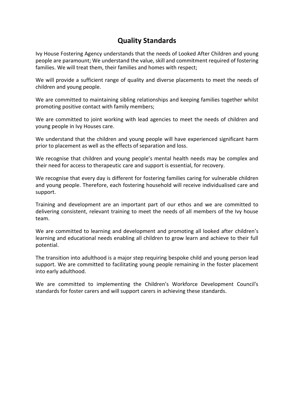# **Quality Standards**

<span id="page-7-0"></span>Ivy House Fostering Agency understands that the needs of Looked After Children and young people are paramount; We understand the value, skill and commitment required of fostering families. We will treat them, their families and homes with respect;

We will provide a sufficient range of quality and diverse placements to meet the needs of children and young people.

We are committed to maintaining sibling relationships and keeping families together whilst promoting positive contact with family members;

We are committed to joint working with lead agencies to meet the needs of children and young people in Ivy Houses care.

We understand that the children and young people will have experienced significant harm prior to placement as well as the effects of separation and loss.

We recognise that children and young people's mental health needs may be complex and their need for access to therapeutic care and support is essential, for recovery.

We recognise that every day is different for fostering families caring for vulnerable children and young people. Therefore, each fostering household will receive individualised care and support.

Training and development are an important part of our ethos and we are committed to delivering consistent, relevant training to meet the needs of all members of the Ivy house team.

We are committed to learning and development and promoting all looked after children's learning and educational needs enabling all children to grow learn and achieve to their full potential.

The transition into adulthood is a major step requiring bespoke child and young person lead support. We are committed to facilitating young people remaining in the foster placement into early adulthood.

We are committed to implementing the Children's Workforce Development Council's standards for foster carers and will support carers in achieving these standards.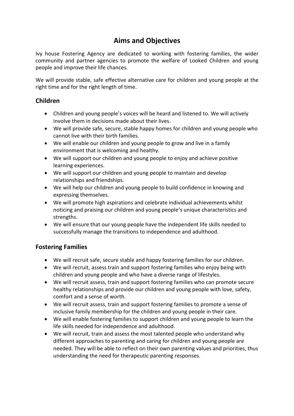# **Aims and Objectives**

<span id="page-8-0"></span>Ivy house Fostering Agency are dedicated to working with fostering families, the wider community and partner agencies to promote the welfare of Looked Children and young people and improve their life chances.

We will provide stable, safe effective alternative care for children and young people at the right time and for the right length of time.

### <span id="page-8-1"></span>**Children**

- Children and young people's voices will be heard and listened to. We will actively involve them in decisions made about their lives.
- We will provide safe, secure, stable happy homes for children and young people who cannot live with their birth families.
- We will enable our children and young people to grow and live in a family environment that is welcoming and healthy.
- We will support our children and young people to enjoy and achieve positive learning experiences.
- We will support our children and young people to maintain and develop relationships and friendships.
- We will help our children and young people to build confidence in knowing and expressing themselves.
- We will promote high aspirations and celebrate individual achievements whilst noticing and praising our children and young people's unique characteristics and strengths.
- We will ensure that our young people have the independent life skills needed to successfully manage the transitions to independence and adulthood.

## <span id="page-8-2"></span>**Fostering Families**

- We will recruit safe, secure stable and happy fostering families for our children.
- We will recruit, assess train and support fostering families who enjoy being with children and young people and who have a diverse range of lifestyles.
- We will recruit assess, train and support fostering families who can promote secure healthy relationships and provide our children and young people with love, safety, comfort and a sense of worth.
- We will recruit assess, train and support fostering families to promote a sense of inclusive family membership for the children and young people in their care.
- We will enable fostering families to support children and young people to learn the life skills needed for independence and adulthood.
- We will recruit, train and assess the most talented people who understand why different approaches to parenting and caring for children and young people are needed. They will be able to reflect on their own parenting values and priorities, thus understanding the need for therapeutic parenting responses.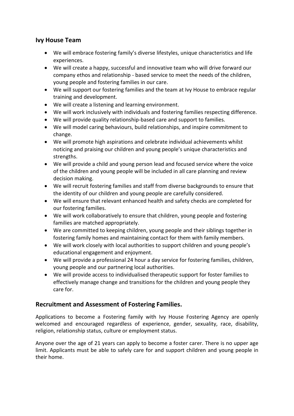## <span id="page-9-0"></span>**Ivy House Team**

- We will embrace fostering family's diverse lifestyles, unique characteristics and life experiences.
- We will create a happy, successful and innovative team who will drive forward our company ethos and relationship - based service to meet the needs of the children, young people and fostering families in our care.
- We will support our fostering families and the team at Ivy House to embrace regular training and development.
- We will create a listening and learning environment.
- We will work inclusively with individuals and fostering families respecting difference.
- We will provide quality relationship-based care and support to families.
- We will model caring behaviours, build relationships, and inspire commitment to change.
- We will promote high aspirations and celebrate individual achievements whilst noticing and praising our children and young people's unique characteristics and strengths.
- We will provide a child and young person lead and focused service where the voice of the children and young people will be included in all care planning and review decision making.
- We will recruit fostering families and staff from diverse backgrounds to ensure that the identity of our children and young people are carefully considered.
- We will ensure that relevant enhanced health and safety checks are completed for our fostering families.
- We will work collaboratively to ensure that children, young people and fostering families are matched appropriately.
- We are committed to keeping children, young people and their siblings together in fostering family homes and maintaining contact for them with family members.
- We will work closely with local authorities to support children and young people's educational engagement and enjoyment.
- We will provide a professional 24 hour a day service for fostering families, children, young people and our partnering local authorities.
- We will provide access to individualised therapeutic support for foster families to effectively manage change and transitions for the children and young people they care for.

#### <span id="page-9-1"></span>**Recruitment and Assessment of Fostering Families.**

Applications to become a Fostering family with Ivy House Fostering Agency are openly welcomed and encouraged regardless of experience, gender, sexuality, race, disability, religion, relationship status, culture or employment status.

Anyone over the age of 21 years can apply to become a foster carer. There is no upper age limit. Applicants must be able to safely care for and support children and young people in their home.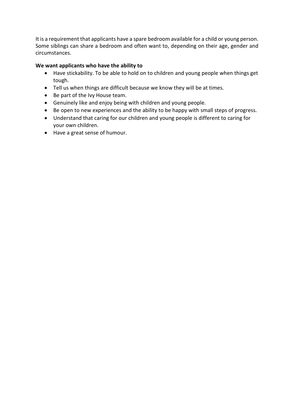It is a requirement that applicants have a spare bedroom available for a child or young person. Some siblings can share a bedroom and often want to, depending on their age, gender and circumstances.

#### <span id="page-10-0"></span>**We want applicants who have the ability to**

- Have stickability. To be able to hold on to children and young people when things get tough.
- Tell us when things are difficult because we know they will be at times.
- Be part of the Ivy House team.
- Genuinely like and enjoy being with children and young people.
- Be open to new experiences and the ability to be happy with small steps of progress.
- Understand that caring for our children and young people is different to caring for your own children.
- Have a great sense of humour.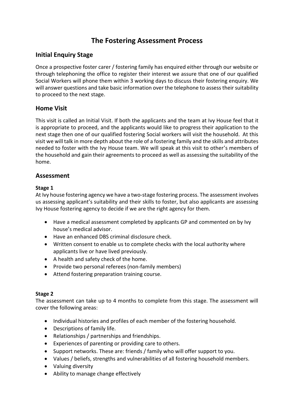# **The Fostering Assessment Process**

## <span id="page-11-1"></span><span id="page-11-0"></span>**Initial Enquiry Stage**

Once a prospective foster carer / fostering family has enquired either through our website or through telephoning the office to register their interest we assure that one of our qualified Social Workers will phone them within 3 working days to discuss their fostering enquiry. We will answer questions and take basic information over the telephone to assess their suitability to proceed to the next stage.

## <span id="page-11-2"></span>**Home Visit**

This visit is called an Initial Visit. If both the applicants and the team at Ivy House feel that it is appropriate to proceed, and the applicants would like to progress their application to the next stage then one of our qualified fostering Social workers will visit the household. At this visit we will talk in more depth about the role of a fostering family and the skills and attributes needed to foster with the Ivy House team. We will speak at this visit to other's members of the household and gain their agreements to proceed as well as assessing the suitability of the home.

#### <span id="page-11-3"></span>**Assessment**

#### <span id="page-11-4"></span>**Stage 1**

At Ivy house fostering agency we have a two-stage fostering process. The assessment involves us assessing applicant's suitability and their skills to foster, but also applicants are assessing Ivy House fostering agency to decide if we are the right agency for them.

- Have a medical assessment completed by applicants GP and commented on by Ivy house's medical advisor.
- Have an enhanced DBS criminal disclosure check.
- Written consent to enable us to complete checks with the local authority where applicants live or have lived previously.
- A health and safety check of the home.
- Provide two personal referees (non-family members)
- Attend fostering preparation training course.

#### <span id="page-11-5"></span>**Stage 2**

The assessment can take up to 4 months to complete from this stage. The assessment will cover the following areas:

- Individual histories and profiles of each member of the fostering household.
- Descriptions of family life.
- Relationships / partnerships and friendships.
- Experiences of parenting or providing care to others.
- Support networks. These are: friends / family who will offer support to you.
- Values / beliefs, strengths and vulnerabilities of all fostering household members.
- Valuing diversity
- Ability to manage change effectively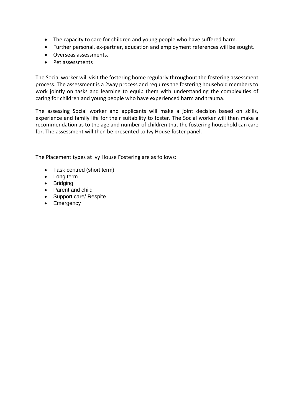- The capacity to care for children and young people who have suffered harm.
- Further personal, ex-partner, education and employment references will be sought.
- Overseas assessments.
- Pet assessments

The Social worker will visit the fostering home regularly throughout the fostering assessment process. The assessment is a 2way process and requires the fostering household members to work jointly on tasks and learning to equip them with understanding the complexities of caring for children and young people who have experienced harm and trauma.

The assessing Social worker and applicants will make a joint decision based on skills, experience and family life for their suitability to foster. The Social worker will then make a recommendation as to the age and number of children that the fostering household can care for. The assessment will then be presented to Ivy House foster panel.

The Placement types at Ivy House Fostering are as follows:

- Task centred (short term)
- Long term
- Bridging
- Parent and child
- Support care/ Respite
- Emergency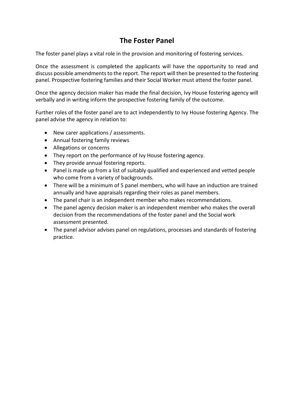# **The Foster Panel**

<span id="page-13-0"></span>The foster panel plays a vital role in the provision and monitoring of fostering services.

Once the assessment is completed the applicants will have the opportunity to read and discuss possible amendments to the report. The report will then be presented to the fostering panel. Prospective fostering families and their Social Worker must attend the foster panel.

Once the agency decision maker has made the final decision, Ivy House fostering agency will verbally and in writing inform the prospective fostering family of the outcome.

Further roles of the foster panel are to act independently to Ivy House fostering Agency. The panel advise the agency in relation to:

- New carer applications / assessments.
- Annual fostering family reviews
- Allegations or concerns
- They report on the performance of Ivy House fostering agency.
- They provide annual fostering reports.
- Panel is made up from a list of suitably qualified and experienced and vetted people who come from a variety of backgrounds.
- There will be a minimum of 5 panel members, who will have an induction are trained annually and have appraisals regarding their roles as panel members.
- The panel chair is an independent member who makes recommendations.
- The panel agency decision maker is an independent member who makes the overall decision from the recommendations of the foster panel and the Social work assessment presented.
- The panel advisor advises panel on regulations, processes and standards of fostering practice.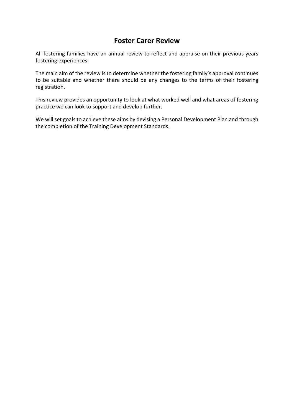## **Foster Carer Review**

<span id="page-14-0"></span>All fostering families have an annual review to reflect and appraise on their previous years fostering experiences.

The main aim of the review is to determine whether the fostering family's approval continues to be suitable and whether there should be any changes to the terms of their fostering registration.

This review provides an opportunity to look at what worked well and what areas of fostering practice we can look to support and develop further.

We will set goals to achieve these aims by devising a Personal Development Plan and through the completion of the Training Development Standards.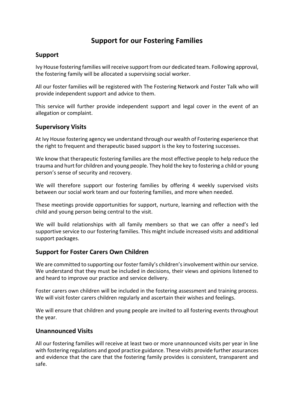# **Support for our Fostering Families**

## <span id="page-15-1"></span><span id="page-15-0"></span>**Support**

Ivy House fostering families will receive support from our dedicated team. Following approval, the fostering family will be allocated a supervising social worker.

All our foster families will be registered with The Fostering Network and Foster Talk who will provide independent support and advice to them.

This service will further provide independent support and legal cover in the event of an allegation or complaint.

#### <span id="page-15-2"></span>**Supervisory Visits**

At Ivy House fostering agency we understand through our wealth of Fostering experience that the right to frequent and therapeutic based support is the key to fostering successes.

We know that therapeutic fostering families are the most effective people to help reduce the trauma and hurt for children and young people. They hold the key to fostering a child or young person's sense of security and recovery.

We will therefore support our fostering families by offering 4 weekly supervised visits between our social work team and our fostering families, and more when needed.

These meetings provide opportunities for support, nurture, learning and reflection with the child and young person being central to the visit.

We will build relationships with all family members so that we can offer a need's led supportive service to our fostering families. This might include increased visits and additional support packages.

#### <span id="page-15-3"></span>**Support for Foster Carers Own Children**

We are committed to supporting our foster family's children's involvement within our service. We understand that they must be included in decisions, their views and opinions listened to and heard to improve our practice and service delivery.

Foster carers own children will be included in the fostering assessment and training process. We will visit foster carers children regularly and ascertain their wishes and feelings.

We will ensure that children and young people are invited to all fostering events throughout the year.

#### <span id="page-15-4"></span>**Unannounced Visits**

All our fostering families will receive at least two or more unannounced visits per year in line with fostering regulations and good practice guidance. These visits provide further assurances and evidence that the care that the fostering family provides is consistent, transparent and safe.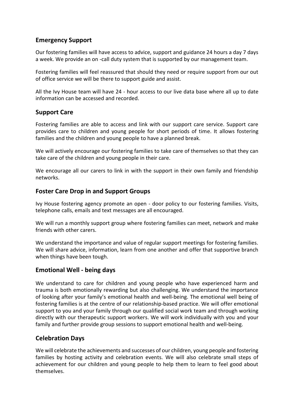## <span id="page-16-0"></span>**Emergency Support**

Our fostering families will have access to advice, support and guidance 24 hours a day 7 days a week. We provide an on -call duty system that is supported by our management team.

Fostering families will feel reassured that should they need or require support from our out of office service we will be there to support guide and assist.

All the Ivy House team will have 24 - hour access to our live data base where all up to date information can be accessed and recorded.

#### <span id="page-16-1"></span>**Support Care**

Fostering families are able to access and link with our support care service. Support care provides care to children and young people for short periods of time. It allows fostering families and the children and young people to have a planned break.

We will actively encourage our fostering families to take care of themselves so that they can take care of the children and young people in their care.

We encourage all our carers to link in with the support in their own family and friendship networks.

#### <span id="page-16-2"></span>**Foster Care Drop in and Support Groups**

Ivy House fostering agency promote an open - door policy to our fostering families. Visits, telephone calls, emails and text messages are all encouraged.

We will run a monthly support group where fostering families can meet, network and make friends with other carers.

We understand the importance and value of regular support meetings for fostering families. We will share advice, information, learn from one another and offer that supportive branch when things have been tough.

#### **Emotional Well - being days**

We understand to care for children and young people who have experienced harm and trauma is both emotionally rewarding but also challenging. We understand the importance of looking after your family's emotional health and well-being. The emotional well being of fostering families is at the centre of our relationship-based practice. We will offer emotional support to you and your family through our qualified social work team and through working directly with our therapeutic support workers. We will work individually with you and your family and further provide group sessions to support emotional health and well-being.

#### <span id="page-16-3"></span>**Celebration Days**

We will celebrate the achievements and successes of our children, young people and fostering families by hosting activity and celebration events. We will also celebrate small steps of achievement for our children and young people to help them to learn to feel good about themselves.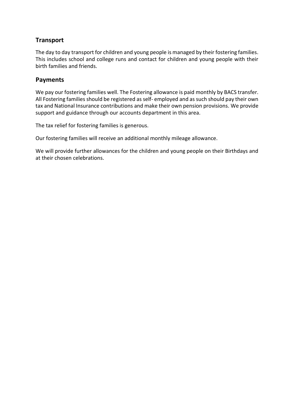## <span id="page-17-0"></span>**Transport**

The day to day transport for children and young people is managed by their fostering families. This includes school and college runs and contact for children and young people with their birth families and friends.

## <span id="page-17-1"></span>**Payments**

We pay our fostering families well. The Fostering allowance is paid monthly by BACS transfer. All Fostering families should be registered as self- employed and as such should pay their own tax and National Insurance contributions and make their own pension provisions. We provide support and guidance through our accounts department in this area.

The tax relief for fostering families is generous.

Our fostering families will receive an additional monthly mileage allowance.

We will provide further allowances for the children and young people on their Birthdays and at their chosen celebrations.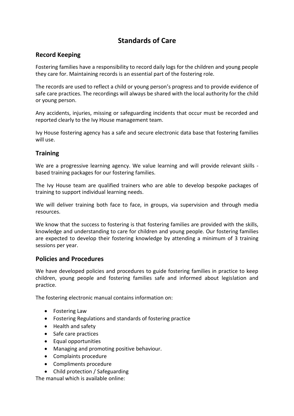# **Standards of Care**

## <span id="page-18-1"></span><span id="page-18-0"></span>**Record Keeping**

Fostering families have a responsibility to record daily logs for the children and young people they care for. Maintaining records is an essential part of the fostering role.

The records are used to reflect a child or young person's progress and to provide evidence of safe care practices. The recordings will always be shared with the local authority for the child or young person.

Any accidents, injuries, missing or safeguarding incidents that occur must be recorded and reported clearly to the Ivy House management team.

Ivy House fostering agency has a safe and secure electronic data base that fostering families will use.

## <span id="page-18-2"></span>**Training**

We are a progressive learning agency. We value learning and will provide relevant skills based training packages for our fostering families.

The Ivy House team are qualified trainers who are able to develop bespoke packages of training to support individual learning needs.

We will deliver training both face to face, in groups, via supervision and through media resources.

We know that the success to fostering is that fostering families are provided with the skills. knowledge and understanding to care for children and young people. Our fostering families are expected to develop their fostering knowledge by attending a minimum of 3 training sessions per year.

#### <span id="page-18-3"></span>**Policies and Procedures**

We have developed policies and procedures to guide fostering families in practice to keep children, young people and fostering families safe and informed about legislation and practice.

The fostering electronic manual contains information on:

- Fostering Law
- Fostering Regulations and standards of fostering practice
- Health and safety
- Safe care practices
- Equal opportunities
- Managing and promoting positive behaviour.
- Complaints procedure
- Compliments procedure
- Child protection / Safeguarding

The manual which is available online: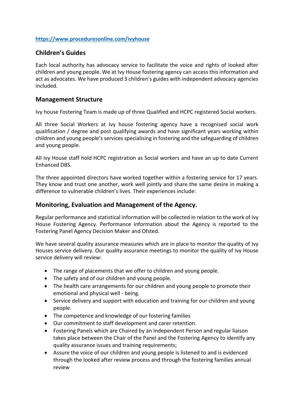#### **<https://www.proceduresonline.com/ivyhouse>**

#### <span id="page-19-0"></span>**Children's Guides**

Each local authority has advocacy service to facilitate the voice and rights of looked after children and young people. We at Ivy House fostering agency can access this information and act as advocates. We have produced 3 children's guides with independent advocacy agencies included.

#### <span id="page-19-1"></span>**Management Structure**

Ivy house Fostering Team is made up of three Qualified and HCPC registered Social workers.

All three Social Workers at Ivy house fostering agency have a recognised social work qualification / degree and post qualifying awards and have significant years working within children and young people's services specialising in fostering and the safeguarding of children and young people.

All Ivy House staff hold HCPC registration as Social workers and have an up to date Current Enhanced DBS.

The three appointed directors have worked together within a fostering service for 17 years. They know and trust one another, work well jointly and share the same desire in making a difference to vulnerable children's lives. Their experiences include:

#### <span id="page-19-2"></span>**Monitoring, Evaluation and Management of the Agency.**

Regular performance and statistical information will be collected in relation to the work of Ivy House Fostering Agency. Performance information about the Agency is reported to the Fostering Panel Agency Decision Maker and Ofsted.

We have several quality assurance measures which are in place to monitor the quality of Ivy Houses service delivery. Our quality assurance meetings to monitor the quality of Ivy House service delivery will review:

- The range of placements that we offer to children and young people.
- The safety and of our children and young people.
- The health care arrangements for our children and young people to promote their emotional and physical well - being.
- Service delivery and support with education and training for our children and young people.
- The competence and knowledge of our fostering families
- Our commitment to staff development and carer retention.
- Fostering Panels which are Chaired by an Independent Person and regular liaison takes place between the Chair of the Panel and the Fostering Agency to identify any quality assurance issues and training requirements;
- Assure the voice of our children and young people is listened to and is evidenced through the looked after review process and through the fostering families annual review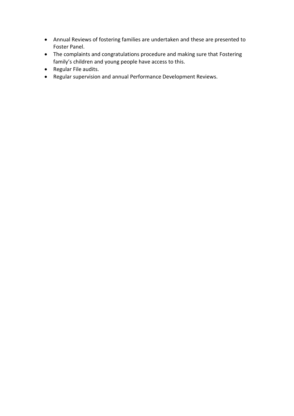- Annual Reviews of fostering families are undertaken and these are presented to Foster Panel.
- The complaints and congratulations procedure and making sure that Fostering family's children and young people have access to this.
- Regular File audits.
- Regular supervision and annual Performance Development Reviews.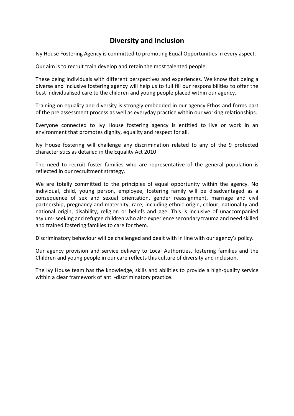# **Diversity and Inclusion**

<span id="page-21-0"></span>Ivy House Fostering Agency is committed to promoting Equal Opportunities in every aspect.

Our aim is to recruit train develop and retain the most talented people.

These being individuals with different perspectives and experiences. We know that being a diverse and inclusive fostering agency will help us to full fill our responsibilities to offer the best individualised care to the children and young people placed within our agency.

Training on equality and diversity is strongly embedded in our agency Ethos and forms part of the pre assessment process as well as everyday practice within our working relationships.

Everyone connected to Ivy House fostering agency is entitled to live or work in an environment that promotes dignity, equality and respect for all.

Ivy House fostering will challenge any discrimination related to any of the 9 protected characteristics as detailed in the Equality Act 2010

The need to recruit foster families who are representative of the general population is reflected in our recruitment strategy.

We are totally committed to the principles of equal opportunity within the agency. No individual, child, young person, employee, fostering family will be disadvantaged as a consequence of sex and sexual orientation, gender reassignment, marriage and civil partnership, pregnancy and maternity, race, including ethnic origin, colour, nationality and national origin, disability, religion or beliefs and age. This is inclusive of unaccompanied asylum-seeking and refugee children who also experience secondary trauma and need skilled and trained fostering families to care for them.

Discriminatory behaviour will be challenged and dealt with in line with our agency's policy.

Our agency provision and service delivery to Local Authorities, fostering families and the Children and young people in our care reflects this culture of diversity and inclusion.

The Ivy House team has the knowledge, skills and abilities to provide a high-quality service within a clear framework of anti -discriminatory practice.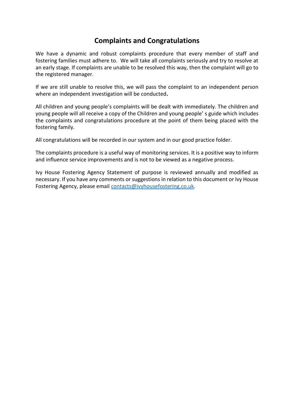# **Complaints and Congratulations**

<span id="page-22-0"></span>We have a dynamic and robust complaints procedure that every member of staff and fostering families must adhere to. We will take all complaints seriously and try to resolve at an early stage. If complaints are unable to be resolved this way, then the complaint will go to the registered manager.

If we are still unable to resolve this, we will pass the complaint to an independent person where an independent investigation will be conducted**.**

All children and young people's complaints will be dealt with immediately. The children and young people will all receive a copy of the Children and young people' s guide which includes the complaints and congratulations procedure at the point of them being placed with the fostering family.

All congratulations will be recorded in our system and in our good practice folder.

The complaints procedure is a useful way of monitoring services. It is a positive way to inform and influence service improvements and is not to be viewed as a negative process.

Ivy House Fostering Agency Statement of purpose is reviewed annually and modified as necessary. If you have any comments or suggestions in relation to this document or Ivy House Fostering Agency, please email [contacts@ivyhousefostering.co.uk.](mailto:contacts@ivyhousefostering.co.uk)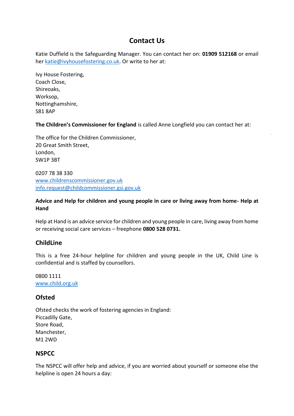# **Contact Us**

<span id="page-23-0"></span>Katie Duffield is the Safeguarding Manager. You can contact her on: **01909 512168** or email her [katie@ivyhousefostering.co.uk.](mailto:katie@ivyhousefostering.co.uk) Or write to her at:

Ivy House Fostering, Coach Close, Shireoaks, Worksop, Nottinghamshire, S81 8AP

**The Children's Commissioner for England** is called Anne Longfield you can contact her at:

The office for the Children Commissioner, 20 Great Smith Street, London, SW1P 3BT

0207 78 38 330 [www.childrenscommissioner.gov.uk](http://www.childrenscommissioner.gov.uk/) [info.request@childcommissioner.gsi.gov.uk](mailto:info.request@childcommissioner.gsi.gov.uk)

#### **Advice and Help for children and young people in care or living away from home- Help at Hand**

Help at Hand is an advice service for children and young people in care, living away from home or receiving social care services – freephone **0800 528 0731.**

#### <span id="page-23-1"></span>**ChildLine**

This is a free 24-hour helpline for children and young people in the UK, Child Line is confidential and is staffed by counsellors.

0800 1111 [www.child.org.uk](http://www.child.org.uk/)

#### <span id="page-23-2"></span>**Ofsted**

Ofsted checks the work of fostering agencies in England: Piccadilly Gate, Store Road, Manchester, M1 2WD

#### <span id="page-23-3"></span>**NSPCC**

The NSPCC will offer help and advice, if you are worried about yourself or someone else the helpline is open 24 hours a day: